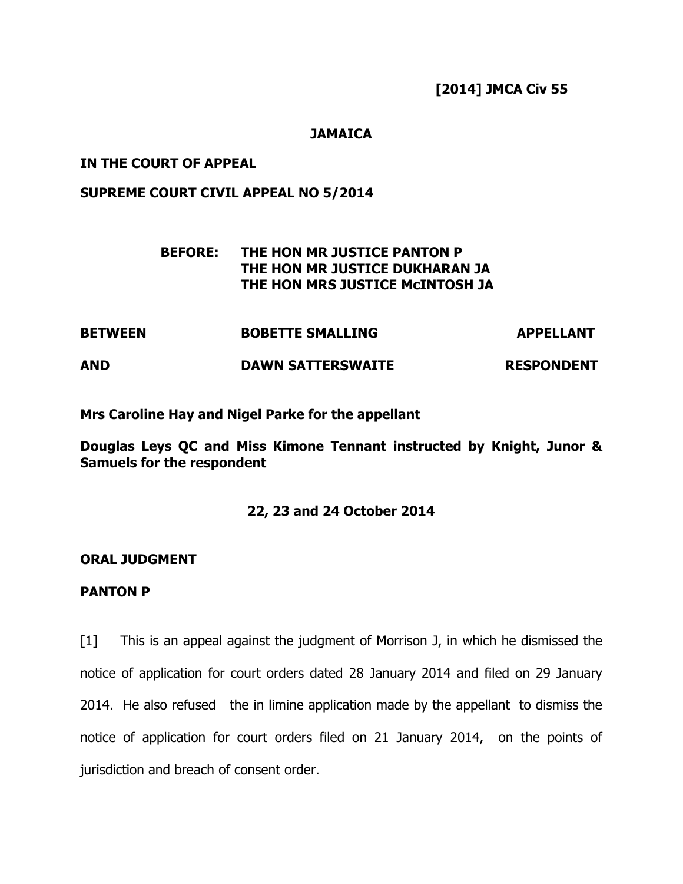**[2014] JMCA Civ 55** 

# **JAMAICA**

## **IN THE COURT OF APPEAL**

## **SUPREME COURT CIVIL APPEAL NO 5/2014**

# **BEFORE: THE HON MR JUSTICE PANTON P THE HON MR JUSTICE DUKHARAN JA THE HON MRS JUSTICE McINTOSH JA**

**BETWEEN BOBETTE SMALLING APPELLANT AND DAWN SATTERSWAITE RESPONDENT** 

**Mrs Caroline Hay and Nigel Parke for the appellant** 

**Douglas Leys QC and Miss Kimone Tennant instructed by Knight, Junor & Samuels for the respondent** 

## **22, 23 and 24 October 2014**

## **ORAL JUDGMENT**

#### **PANTON P**

[1] This is an appeal against the judgment of Morrison J, in which he dismissed the notice of application for court orders dated 28 January 2014 and filed on 29 January 2014. He also refused the in limine application made by the appellant to dismiss the notice of application for court orders filed on 21 January 2014, on the points of jurisdiction and breach of consent order.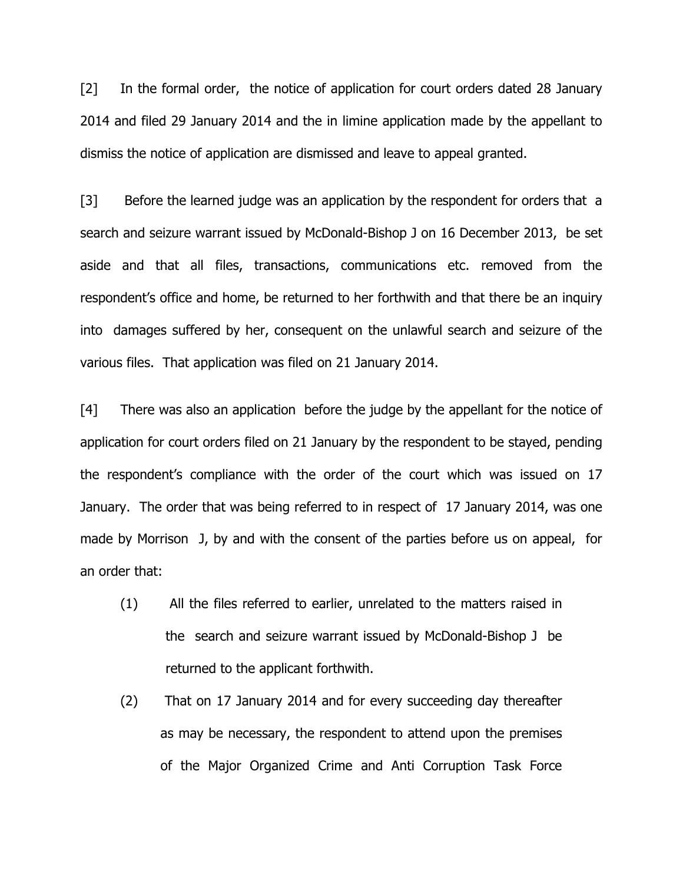[2] In the formal order, the notice of application for court orders dated 28 January 2014 and filed 29 January 2014 and the in limine application made by the appellant to dismiss the notice of application are dismissed and leave to appeal granted.

[3] Before the learned judge was an application by the respondent for orders that a search and seizure warrant issued by McDonald-Bishop J on 16 December 2013, be set aside and that all files, transactions, communications etc. removed from the respondent's office and home, be returned to her forthwith and that there be an inquiry into damages suffered by her, consequent on the unlawful search and seizure of the various files. That application was filed on 21 January 2014.

[4] There was also an application before the judge by the appellant for the notice of application for court orders filed on 21 January by the respondent to be stayed, pending the respondent's compliance with the order of the court which was issued on 17 January. The order that was being referred to in respect of 17 January 2014, was one made by Morrison J, by and with the consent of the parties before us on appeal, for an order that:

- (1) All the files referred to earlier, unrelated to the matters raised in the search and seizure warrant issued by McDonald-Bishop J be returned to the applicant forthwith.
- (2) That on 17 January 2014 and for every succeeding day thereafter as may be necessary, the respondent to attend upon the premises of the Major Organized Crime and Anti Corruption Task Force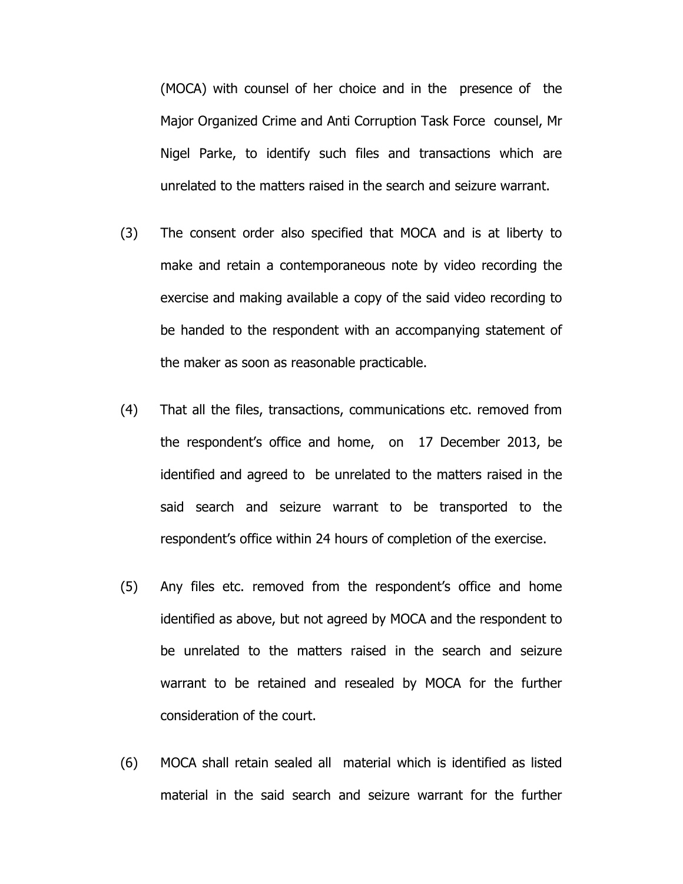(MOCA) with counsel of her choice and in the presence of the Major Organized Crime and Anti Corruption Task Force counsel, Mr Nigel Parke, to identify such files and transactions which are unrelated to the matters raised in the search and seizure warrant.

- (3) The consent order also specified that MOCA and is at liberty to make and retain a contemporaneous note by video recording the exercise and making available a copy of the said video recording to be handed to the respondent with an accompanying statement of the maker as soon as reasonable practicable.
- (4) That all the files, transactions, communications etc. removed from the respondent's office and home, on 17 December 2013, be identified and agreed to be unrelated to the matters raised in the said search and seizure warrant to be transported to the respondent's office within 24 hours of completion of the exercise.
- (5) Any files etc. removed from the respondent's office and home identified as above, but not agreed by MOCA and the respondent to be unrelated to the matters raised in the search and seizure warrant to be retained and resealed by MOCA for the further consideration of the court.
- (6) MOCA shall retain sealed all material which is identified as listed material in the said search and seizure warrant for the further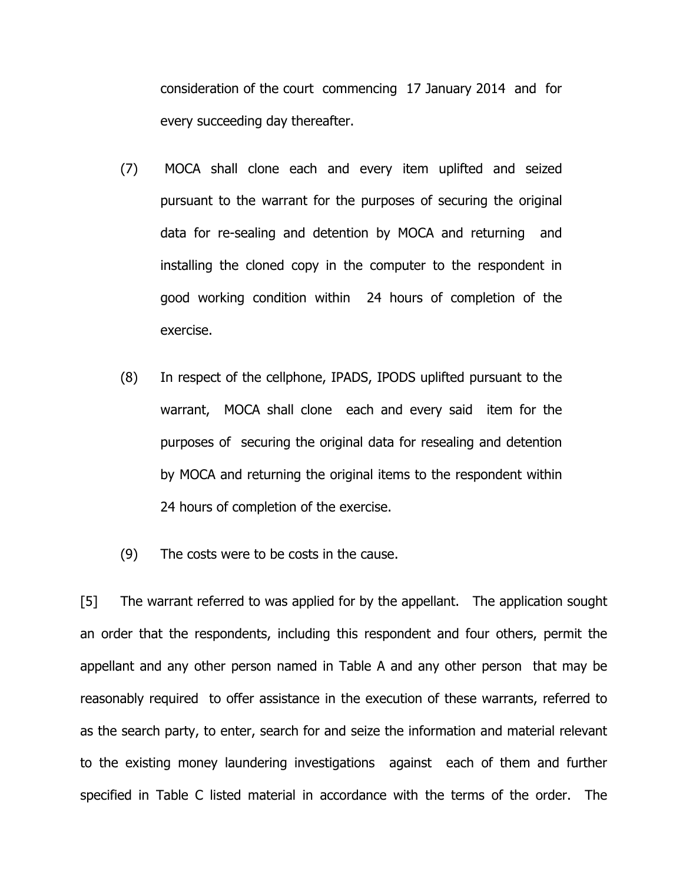consideration of the court commencing 17 January 2014 and for every succeeding day thereafter.

- (7) MOCA shall clone each and every item uplifted and seized pursuant to the warrant for the purposes of securing the original data for re-sealing and detention by MOCA and returning and installing the cloned copy in the computer to the respondent in good working condition within 24 hours of completion of the exercise.
- (8) In respect of the cellphone, IPADS, IPODS uplifted pursuant to the warrant, MOCA shall clone each and every said item for the purposes of securing the original data for resealing and detention by MOCA and returning the original items to the respondent within 24 hours of completion of the exercise.
- (9) The costs were to be costs in the cause.

[5] The warrant referred to was applied for by the appellant. The application sought an order that the respondents, including this respondent and four others, permit the appellant and any other person named in Table A and any other person that may be reasonably required to offer assistance in the execution of these warrants, referred to as the search party, to enter, search for and seize the information and material relevant to the existing money laundering investigations against each of them and further specified in Table C listed material in accordance with the terms of the order. The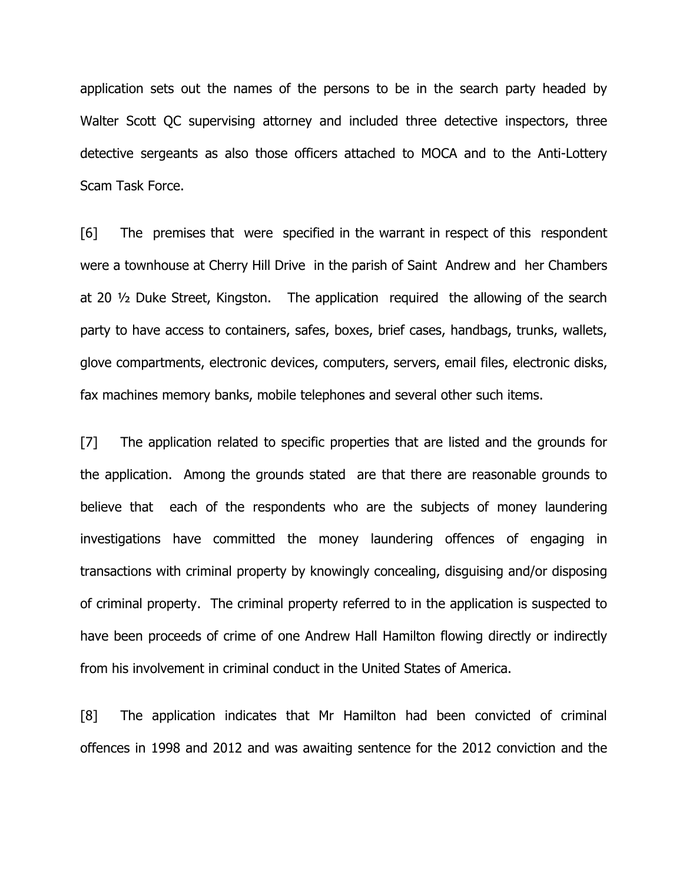application sets out the names of the persons to be in the search party headed by Walter Scott QC supervising attorney and included three detective inspectors, three detective sergeants as also those officers attached to MOCA and to the Anti-Lottery Scam Task Force.

[6] The premises that were specified in the warrant in respect of this respondent were a townhouse at Cherry Hill Drive in the parish of Saint Andrew and her Chambers at 20 ½ Duke Street, Kingston. The application required the allowing of the search party to have access to containers, safes, boxes, brief cases, handbags, trunks, wallets, glove compartments, electronic devices, computers, servers, email files, electronic disks, fax machines memory banks, mobile telephones and several other such items.

[7] The application related to specific properties that are listed and the grounds for the application. Among the grounds stated are that there are reasonable grounds to believe that each of the respondents who are the subjects of money laundering investigations have committed the money laundering offences of engaging in transactions with criminal property by knowingly concealing, disguising and/or disposing of criminal property. The criminal property referred to in the application is suspected to have been proceeds of crime of one Andrew Hall Hamilton flowing directly or indirectly from his involvement in criminal conduct in the United States of America.

[8] The application indicates that Mr Hamilton had been convicted of criminal offences in 1998 and 2012 and was awaiting sentence for the 2012 conviction and the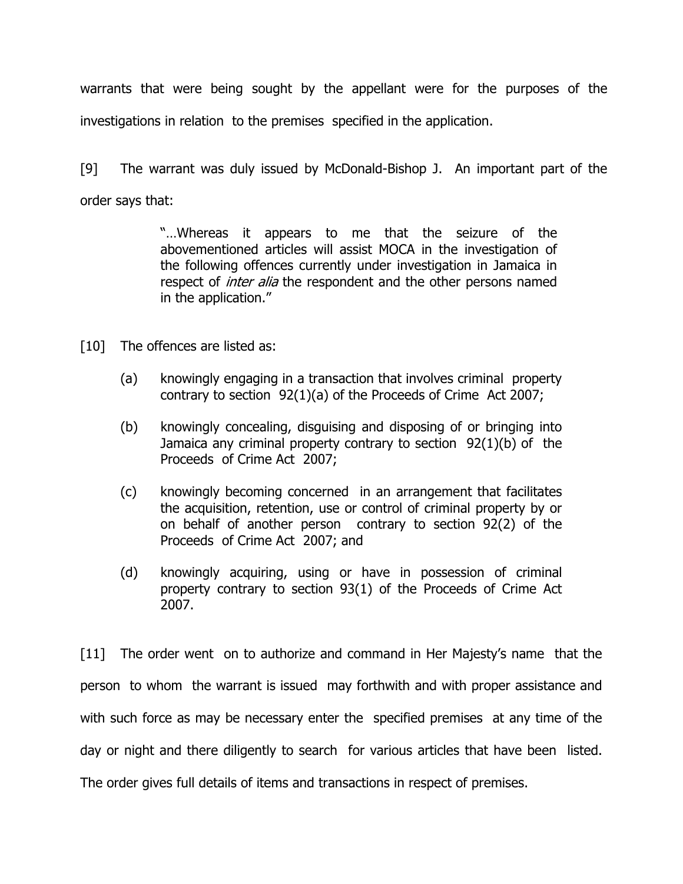warrants that were being sought by the appellant were for the purposes of the investigations in relation to the premises specified in the application.

[9] The warrant was duly issued by McDonald-Bishop J. An important part of the order says that:

> "…Whereas it appears to me that the seizure of the abovementioned articles will assist MOCA in the investigation of the following offences currently under investigation in Jamaica in respect of *inter alia* the respondent and the other persons named in the application."

[10] The offences are listed as:

- (a) knowingly engaging in a transaction that involves criminal property contrary to section 92(1)(a) of the Proceeds of Crime Act 2007;
- (b) knowingly concealing, disguising and disposing of or bringing into Jamaica any criminal property contrary to section 92(1)(b) of the Proceeds of Crime Act 2007;
- (c) knowingly becoming concerned in an arrangement that facilitates the acquisition, retention, use or control of criminal property by or on behalf of another person contrary to section 92(2) of the Proceeds of Crime Act 2007; and
- (d) knowingly acquiring, using or have in possession of criminal property contrary to section 93(1) of the Proceeds of Crime Act 2007.

[11] The order went on to authorize and command in Her Majesty's name that the person to whom the warrant is issued may forthwith and with proper assistance and with such force as may be necessary enter the specified premises at any time of the day or night and there diligently to search for various articles that have been listed. The order gives full details of items and transactions in respect of premises.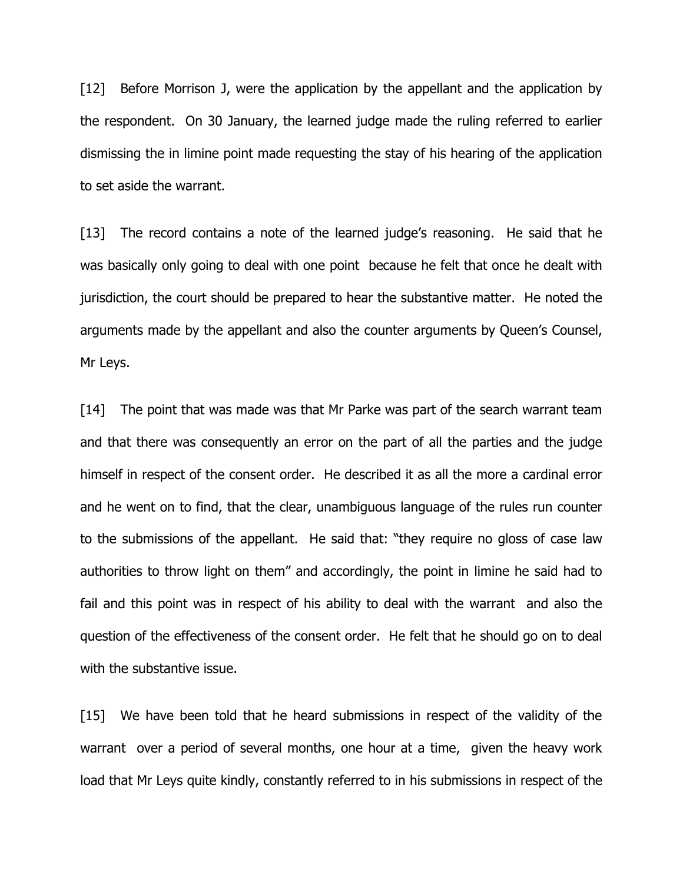[12] Before Morrison J, were the application by the appellant and the application by the respondent. On 30 January, the learned judge made the ruling referred to earlier dismissing the in limine point made requesting the stay of his hearing of the application to set aside the warrant.

[13] The record contains a note of the learned judge's reasoning. He said that he was basically only going to deal with one point because he felt that once he dealt with jurisdiction, the court should be prepared to hear the substantive matter. He noted the arguments made by the appellant and also the counter arguments by Queen's Counsel, Mr Leys.

[14] The point that was made was that Mr Parke was part of the search warrant team and that there was consequently an error on the part of all the parties and the judge himself in respect of the consent order. He described it as all the more a cardinal error and he went on to find, that the clear, unambiguous language of the rules run counter to the submissions of the appellant. He said that: "they require no gloss of case law authorities to throw light on them" and accordingly, the point in limine he said had to fail and this point was in respect of his ability to deal with the warrant and also the question of the effectiveness of the consent order. He felt that he should go on to deal with the substantive issue.

[15] We have been told that he heard submissions in respect of the validity of the warrant over a period of several months, one hour at a time, given the heavy work load that Mr Leys quite kindly, constantly referred to in his submissions in respect of the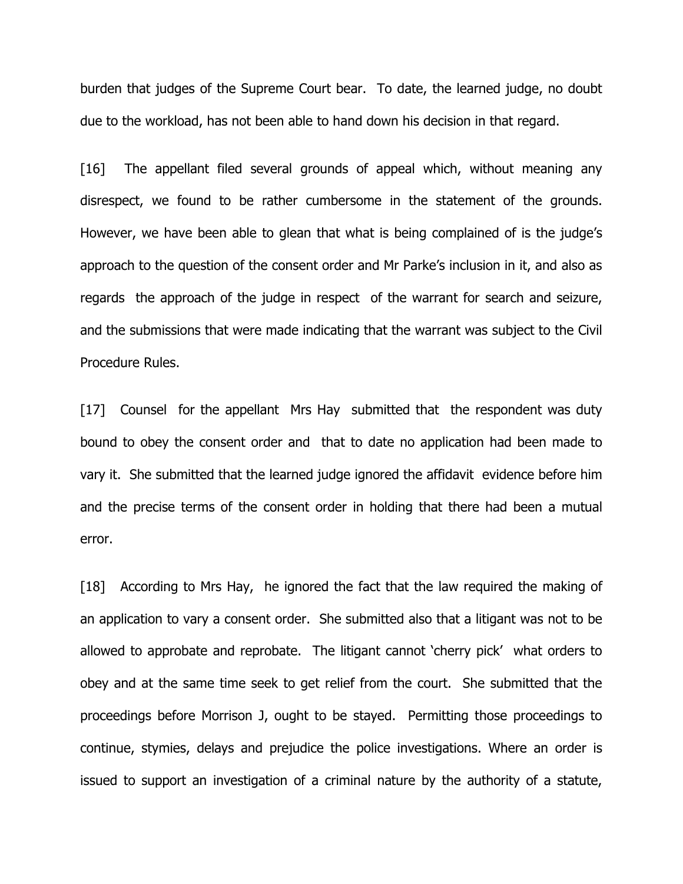burden that judges of the Supreme Court bear. To date, the learned judge, no doubt due to the workload, has not been able to hand down his decision in that regard.

[16] The appellant filed several grounds of appeal which, without meaning any disrespect, we found to be rather cumbersome in the statement of the grounds. However, we have been able to glean that what is being complained of is the judge's approach to the question of the consent order and Mr Parke's inclusion in it, and also as regards the approach of the judge in respect of the warrant for search and seizure, and the submissions that were made indicating that the warrant was subject to the Civil Procedure Rules.

[17] Counsel for the appellant Mrs Hay submitted that the respondent was duty bound to obey the consent order and that to date no application had been made to vary it. She submitted that the learned judge ignored the affidavit evidence before him and the precise terms of the consent order in holding that there had been a mutual error.

[18] According to Mrs Hay, he ignored the fact that the law required the making of an application to vary a consent order. She submitted also that a litigant was not to be allowed to approbate and reprobate. The litigant cannot 'cherry pick' what orders to obey and at the same time seek to get relief from the court. She submitted that the proceedings before Morrison J, ought to be stayed. Permitting those proceedings to continue, stymies, delays and prejudice the police investigations. Where an order is issued to support an investigation of a criminal nature by the authority of a statute,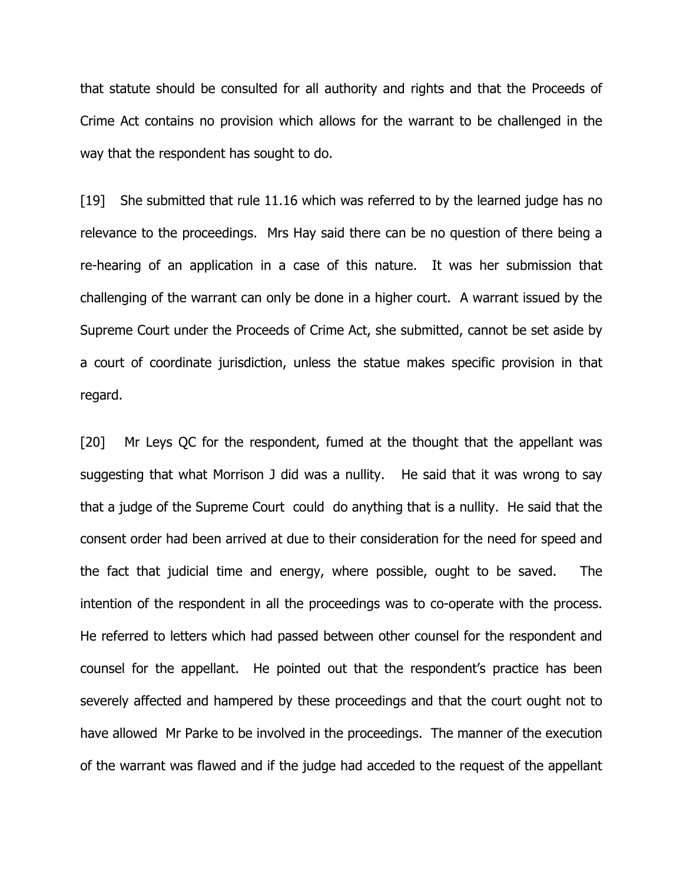that statute should be consulted for all authority and rights and that the Proceeds of Crime Act contains no provision which allows for the warrant to be challenged in the way that the respondent has sought to do.

[19] She submitted that rule 11.16 which was referred to by the learned judge has no relevance to the proceedings. Mrs Hay said there can be no question of there being a re-hearing of an application in a case of this nature. It was her submission that challenging of the warrant can only be done in a higher court. A warrant issued by the Supreme Court under the Proceeds of Crime Act, she submitted, cannot be set aside by a court of coordinate jurisdiction, unless the statue makes specific provision in that regard.

[20] Mr Leys QC for the respondent, fumed at the thought that the appellant was suggesting that what Morrison J did was a nullity. He said that it was wrong to say that a judge of the Supreme Court could do anything that is a nullity. He said that the consent order had been arrived at due to their consideration for the need for speed and the fact that judicial time and energy, where possible, ought to be saved. The intention of the respondent in all the proceedings was to co-operate with the process. He referred to letters which had passed between other counsel for the respondent and counsel for the appellant. He pointed out that the respondent's practice has been severely affected and hampered by these proceedings and that the court ought not to have allowed Mr Parke to be involved in the proceedings. The manner of the execution of the warrant was flawed and if the judge had acceded to the request of the appellant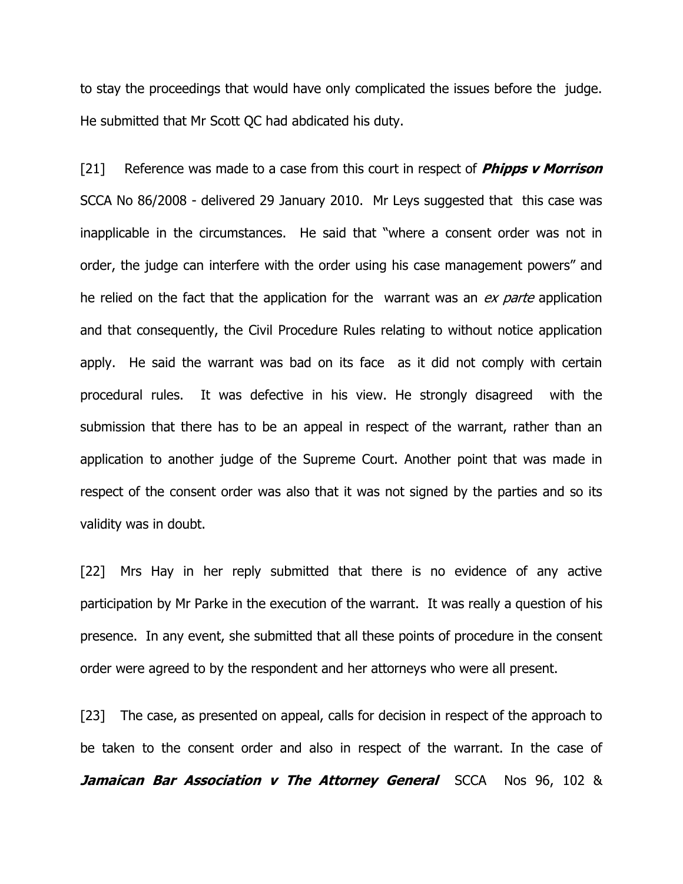to stay the proceedings that would have only complicated the issues before the judge. He submitted that Mr Scott QC had abdicated his duty.

[21] Reference was made to a case from this court in respect of **Phipps v Morrison** SCCA No 86/2008 - delivered 29 January 2010. Mr Leys suggested that this case was inapplicable in the circumstances. He said that "where a consent order was not in order, the judge can interfere with the order using his case management powers" and he relied on the fact that the application for the warrant was an ex parte application and that consequently, the Civil Procedure Rules relating to without notice application apply. He said the warrant was bad on its face as it did not comply with certain procedural rules. It was defective in his view. He strongly disagreed with the submission that there has to be an appeal in respect of the warrant, rather than an application to another judge of the Supreme Court. Another point that was made in respect of the consent order was also that it was not signed by the parties and so its validity was in doubt.

[22] Mrs Hay in her reply submitted that there is no evidence of any active participation by Mr Parke in the execution of the warrant. It was really a question of his presence. In any event, she submitted that all these points of procedure in the consent order were agreed to by the respondent and her attorneys who were all present.

[23] The case, as presented on appeal, calls for decision in respect of the approach to be taken to the consent order and also in respect of the warrant. In the case of **Jamaican Bar Association v The Attorney General** SCCA Nos 96, 102 &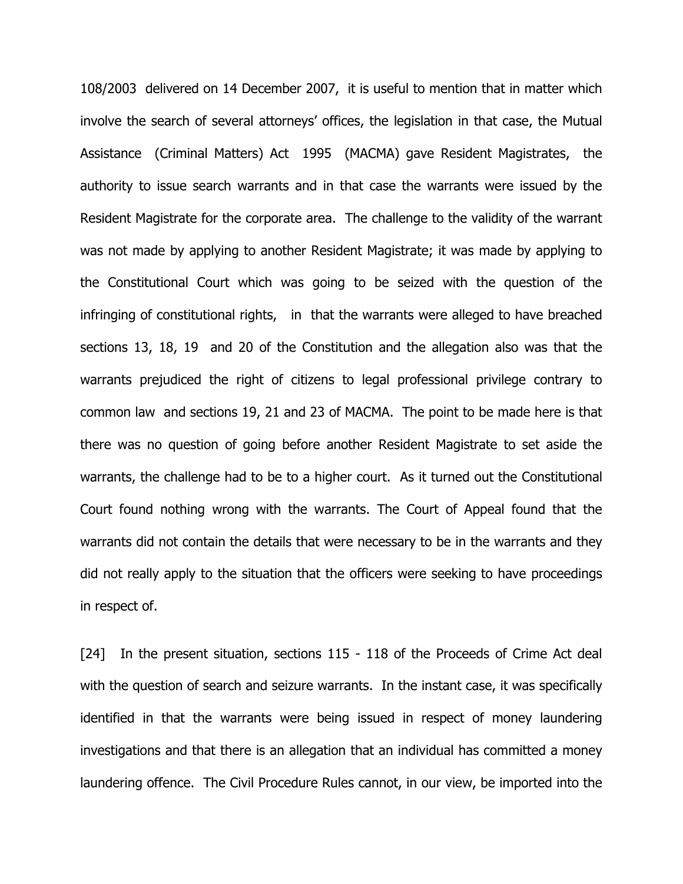108/2003 delivered on 14 December 2007, it is useful to mention that in matter which involve the search of several attorneys' offices, the legislation in that case, the Mutual Assistance (Criminal Matters) Act 1995 (MACMA) gave Resident Magistrates, the authority to issue search warrants and in that case the warrants were issued by the Resident Magistrate for the corporate area. The challenge to the validity of the warrant was not made by applying to another Resident Magistrate; it was made by applying to the Constitutional Court which was going to be seized with the question of the infringing of constitutional rights, in that the warrants were alleged to have breached sections 13, 18, 19 and 20 of the Constitution and the allegation also was that the warrants prejudiced the right of citizens to legal professional privilege contrary to common law and sections 19, 21 and 23 of MACMA. The point to be made here is that there was no question of going before another Resident Magistrate to set aside the warrants, the challenge had to be to a higher court. As it turned out the Constitutional Court found nothing wrong with the warrants. The Court of Appeal found that the warrants did not contain the details that were necessary to be in the warrants and they did not really apply to the situation that the officers were seeking to have proceedings in respect of.

[24] In the present situation, sections 115 - 118 of the Proceeds of Crime Act deal with the question of search and seizure warrants. In the instant case, it was specifically identified in that the warrants were being issued in respect of money laundering investigations and that there is an allegation that an individual has committed a money laundering offence. The Civil Procedure Rules cannot, in our view, be imported into the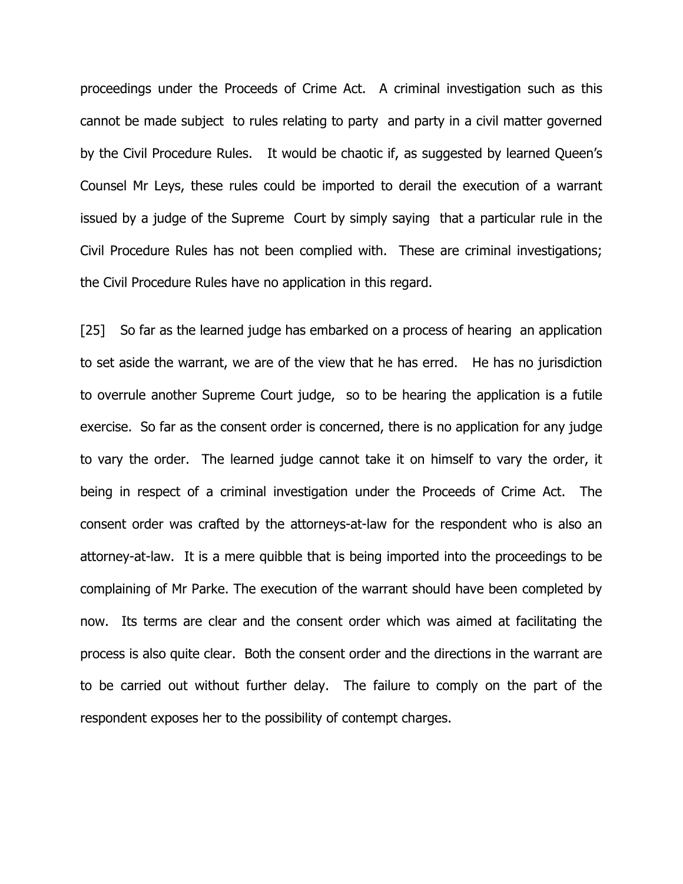proceedings under the Proceeds of Crime Act. A criminal investigation such as this cannot be made subject to rules relating to party and party in a civil matter governed by the Civil Procedure Rules. It would be chaotic if, as suggested by learned Queen's Counsel Mr Leys, these rules could be imported to derail the execution of a warrant issued by a judge of the Supreme Court by simply saying that a particular rule in the Civil Procedure Rules has not been complied with. These are criminal investigations; the Civil Procedure Rules have no application in this regard.

[25] So far as the learned judge has embarked on a process of hearing an application to set aside the warrant, we are of the view that he has erred. He has no jurisdiction to overrule another Supreme Court judge, so to be hearing the application is a futile exercise. So far as the consent order is concerned, there is no application for any judge to vary the order. The learned judge cannot take it on himself to vary the order, it being in respect of a criminal investigation under the Proceeds of Crime Act. The consent order was crafted by the attorneys-at-law for the respondent who is also an attorney-at-law. It is a mere quibble that is being imported into the proceedings to be complaining of Mr Parke. The execution of the warrant should have been completed by now. Its terms are clear and the consent order which was aimed at facilitating the process is also quite clear. Both the consent order and the directions in the warrant are to be carried out without further delay. The failure to comply on the part of the respondent exposes her to the possibility of contempt charges.